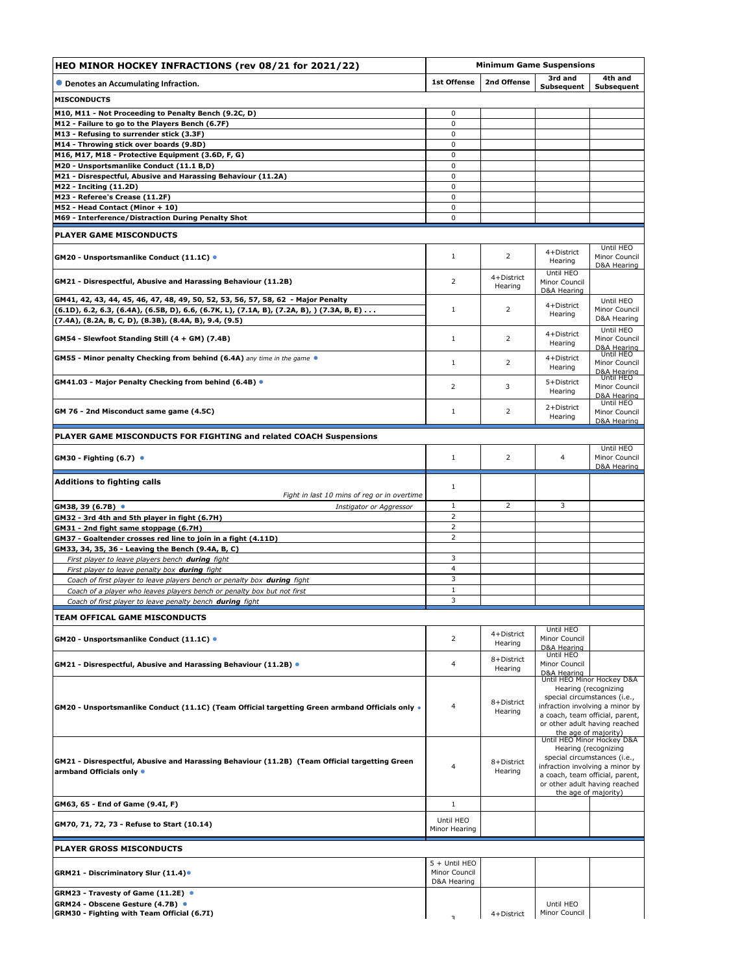| HEO MINOR HOCKEY INFRACTIONS (rev 08/21 for 2021/22)                                                                                                |                                               | <b>Minimum Game Suspensions</b> |                                                                                                                                                                                                                   |                                           |  |
|-----------------------------------------------------------------------------------------------------------------------------------------------------|-----------------------------------------------|---------------------------------|-------------------------------------------------------------------------------------------------------------------------------------------------------------------------------------------------------------------|-------------------------------------------|--|
| • Denotes an Accumulating Infraction.                                                                                                               | <b>1st Offense</b>                            | 2nd Offense                     | 3rd and<br>Subsequent                                                                                                                                                                                             | 4th and<br>Subsequent                     |  |
| <b>MISCONDUCTS</b>                                                                                                                                  |                                               |                                 |                                                                                                                                                                                                                   |                                           |  |
| M10, M11 - Not Proceeding to Penalty Bench (9.2C, D)                                                                                                | 0                                             |                                 |                                                                                                                                                                                                                   |                                           |  |
| M12 - Failure to go to the Players Bench (6.7F)                                                                                                     | $\pmb{0}$                                     |                                 |                                                                                                                                                                                                                   |                                           |  |
| M13 - Refusing to surrender stick (3.3F)<br>M14 - Throwing stick over boards (9.8D)                                                                 | 0<br>0                                        |                                 |                                                                                                                                                                                                                   |                                           |  |
| M16, M17, M18 - Protective Equipment (3.6D, F, G)                                                                                                   | 0                                             |                                 |                                                                                                                                                                                                                   |                                           |  |
| M20 - Unsportsmanlike Conduct (11.1 B,D)                                                                                                            | 0                                             |                                 |                                                                                                                                                                                                                   |                                           |  |
| M21 - Disrespectful, Abusive and Harassing Behaviour (11.2A)                                                                                        | $\mathbf 0$                                   |                                 |                                                                                                                                                                                                                   |                                           |  |
| <b>M22 - Inciting (11.2D)</b>                                                                                                                       | 0                                             |                                 |                                                                                                                                                                                                                   |                                           |  |
| M23 - Referee's Crease (11.2F)<br>M52 - Head Contact (Minor + 10)                                                                                   | 0<br>0                                        |                                 |                                                                                                                                                                                                                   |                                           |  |
| M69 - Interference/Distraction During Penalty Shot                                                                                                  | 0                                             |                                 |                                                                                                                                                                                                                   |                                           |  |
|                                                                                                                                                     |                                               |                                 |                                                                                                                                                                                                                   |                                           |  |
| <b>PLAYER GAME MISCONDUCTS</b>                                                                                                                      |                                               |                                 |                                                                                                                                                                                                                   |                                           |  |
| GM20 - Unsportsmanlike Conduct (11.1C) ●                                                                                                            | $\mathbf{1}$                                  | 2                               | 4+District<br>Hearing                                                                                                                                                                                             | Until HEO<br>Minor Council<br>D&A Hearing |  |
| GM21 - Disrespectful, Abusive and Harassing Behaviour (11.2B)                                                                                       | 2                                             | 4+District<br>Hearing           | Until HEO<br>Minor Council<br>D&A Hearing                                                                                                                                                                         |                                           |  |
| GM41, 42, 43, 44, 45, 46, 47, 48, 49, 50, 52, 53, 56, 57, 58, 62 - Major Penalty                                                                    |                                               |                                 | 4+District                                                                                                                                                                                                        | Until HEO                                 |  |
| (6.1D), 6.2, 6.3, (6.4A), (6.5B, D), 6.6, (6.7K, L), (7.1A, B), (7.2A, B), ) (7.3A, B, E)                                                           | $\mathbf{1}$                                  | 2                               | Hearing                                                                                                                                                                                                           | Minor Council<br>D&A Hearing              |  |
| (7.4A), (8.2A, B, C, D), (8.3B), (8.4A, B), 9.4, (9.5)                                                                                              |                                               |                                 |                                                                                                                                                                                                                   | Until HEO                                 |  |
| GM54 - Slewfoot Standing Still (4 + GM) (7.4B)                                                                                                      | $\mathbf{1}$                                  | 2                               | 4+District<br>Hearing                                                                                                                                                                                             | Minor Council<br>D&A Hearing<br>Until HEO |  |
| GM55 - Minor penalty Checking from behind (6.4A) any time in the game ●                                                                             | 1                                             | 2                               | 4+District<br>Hearing                                                                                                                                                                                             | Minor Council<br>D&A Hearing<br>Until HEO |  |
| GM41.03 - Major Penalty Checking from behind (6.4B) ●                                                                                               | 2                                             | 3                               | 5+District<br>Hearing                                                                                                                                                                                             | Minor Council<br>D&A Hearing              |  |
| GM 76 - 2nd Misconduct same game (4.5C)                                                                                                             | 1                                             | 2                               | 2+District<br>Hearing                                                                                                                                                                                             | Until HEO<br>Minor Council<br>D&A Hearing |  |
| PLAYER GAME MISCONDUCTS FOR FIGHTING and related COACH Suspensions                                                                                  |                                               |                                 |                                                                                                                                                                                                                   | Until HEO                                 |  |
| GM30 - Fighting (6.7) ●                                                                                                                             | 1                                             | 2                               | $\overline{4}$                                                                                                                                                                                                    | Minor Council<br>D&A Hearing              |  |
| <b>Additions to fighting calls</b>                                                                                                                  | 1                                             |                                 |                                                                                                                                                                                                                   |                                           |  |
| Fight in last 10 mins of reg or in overtime                                                                                                         |                                               |                                 |                                                                                                                                                                                                                   |                                           |  |
| GM38, 39 (6.7B) ●<br>Instigator or Aggressor                                                                                                        | 1                                             | $\overline{2}$                  | 3                                                                                                                                                                                                                 |                                           |  |
| GM32 - 3rd 4th and 5th player in fight (6.7H)                                                                                                       | $\overline{2}$<br>$\overline{2}$              |                                 |                                                                                                                                                                                                                   |                                           |  |
| GM31 - 2nd fight same stoppage (6.7H)<br>GM37 - Goaltender crosses red line to join in a fight (4.11D)                                              | 2                                             |                                 |                                                                                                                                                                                                                   |                                           |  |
| GM33, 34, 35, 36 - Leaving the Bench (9.4A, B, C)                                                                                                   |                                               |                                 |                                                                                                                                                                                                                   |                                           |  |
| First player to leave players bench during fight                                                                                                    | 3                                             |                                 |                                                                                                                                                                                                                   |                                           |  |
| First player to leave penalty box during fight                                                                                                      | 4                                             |                                 |                                                                                                                                                                                                                   |                                           |  |
| Coach of first player to leave players bench or penalty box during fight<br>Coach of a player who leaves players bench or penalty box but not first | 3<br>$\,1\,$                                  |                                 |                                                                                                                                                                                                                   |                                           |  |
| Coach of first player to leave penalty bench during fight                                                                                           | 3                                             |                                 |                                                                                                                                                                                                                   |                                           |  |
| <b>TEAM OFFICAL GAME MISCONDUCTS</b>                                                                                                                |                                               |                                 |                                                                                                                                                                                                                   |                                           |  |
|                                                                                                                                                     |                                               |                                 | Until HEO                                                                                                                                                                                                         |                                           |  |
| GM20 - Unsportsmanlike Conduct (11.1C) ●                                                                                                            | 2                                             | 4+District<br>Hearing           | Minor Council<br>D&A Hearing                                                                                                                                                                                      |                                           |  |
| GM21 - Disrespectful, Abusive and Harassing Behaviour (11.2B) ●                                                                                     | $\overline{4}$                                | 8+District<br>Hearing           | Until HEO<br>Minor Council<br>D&A Hearing                                                                                                                                                                         |                                           |  |
| GM20 - Unsportsmanlike Conduct (11.1C) (Team Official targetting Green armband Officials only .                                                     | 4                                             | 8+District<br>Hearing           | Until HEO Minor Hockey D&A<br>Hearing (recognizing<br>special circumstances (i.e.,<br>infraction involving a minor by<br>a coach, team official, parent,<br>or other adult having reached<br>the age of majority) |                                           |  |
| GM21 - Disrespectful, Abusive and Harassing Behaviour (11.2B) (Team Official targetting Green<br>armband Officials only •                           | $\overline{4}$                                | 8+District<br>Hearing           | Until HEO Minor Hockey D&A<br>Hearing (recognizing<br>special circumstances (i.e.,<br>infraction involving a minor by<br>a coach, team official, parent,<br>or other adult having reached<br>the age of majority) |                                           |  |
| GM63, 65 - End of Game (9.4I, F)                                                                                                                    | $\mathbf{1}$                                  |                                 |                                                                                                                                                                                                                   |                                           |  |
| GM70, 71, 72, 73 - Refuse to Start (10.14)                                                                                                          | Until HEO<br>Minor Hearing                    |                                 |                                                                                                                                                                                                                   |                                           |  |
| <b>PLAYER GROSS MISCONDUCTS</b>                                                                                                                     |                                               |                                 |                                                                                                                                                                                                                   |                                           |  |
| GRM21 - Discriminatory Slur (11.4)●                                                                                                                 | 5 + Until HEO<br>Minor Council<br>D&A Hearing |                                 |                                                                                                                                                                                                                   |                                           |  |
| GRM23 - Travesty of Game (11.2E) ●                                                                                                                  |                                               |                                 |                                                                                                                                                                                                                   |                                           |  |
| GRM24 - Obscene Gesture (4.7B) ●<br>GRM30 - Fighting with Team Official (6.7I)                                                                      | $\mathbf{z}$                                  | 4+District                      | Until HEO<br>Minor Council                                                                                                                                                                                        |                                           |  |